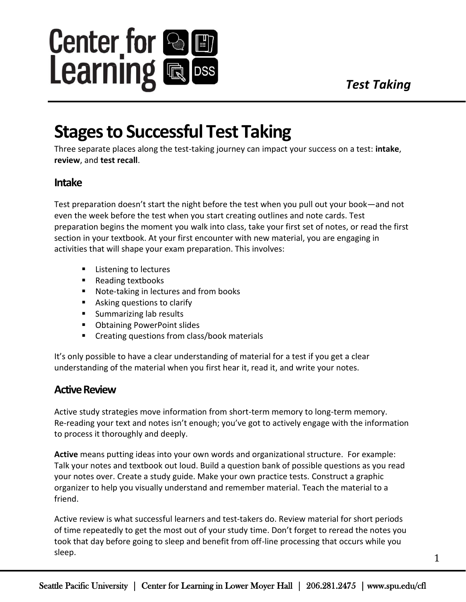

# **Stages to Successful Test Taking**

Three separate places along the test-taking journey can impact your success on a test: **intake**, **review**, and **test recall**.

## **Intake**

Test preparation doesn't start the night before the test when you pull out your book—and not even the week before the test when you start creating outlines and note cards. Test preparation begins the moment you walk into class, take your first set of notes, or read the first section in your textbook. At your first encounter with new material, you are engaging in activities that will shape your exam preparation. This involves:

- Listening to lectures
- Reading textbooks
- Note-taking in lectures and from books
- Asking questions to clarify
- Summarizing lab results
- Obtaining PowerPoint slides
- Creating questions from class/book materials

It's only possible to have a clear understanding of material for a test if you get a clear understanding of the material when you first hear it, read it, and write your notes.

# **Active Review**

Active study strategies move information from short-term memory to long-term memory. Re-reading your text and notes isn't enough; you've got to actively engage with the information to process it thoroughly and deeply.

**Active** means putting ideas into your own words and organizational structure. For example: Talk your notes and textbook out loud. Build a question bank of possible questions as you read your notes over. Create a study guide. Make your own practice tests. Construct a graphic organizer to help you visually understand and remember material. Teach the material to a friend.

Active review is what successful learners and test-takers do. Review material for short periods of time repeatedly to get the most out of your study time. Don't forget to reread the notes you took that day before going to sleep and benefit from off-line processing that occurs while you sleep.